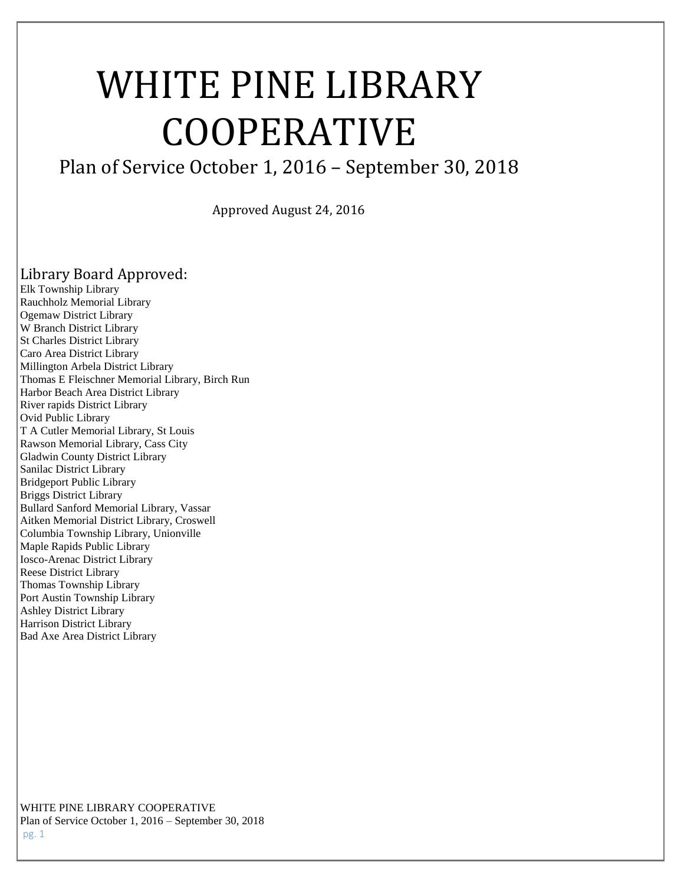# WHITE PINE LIBRARY COOPERATIVE

# Plan of Service October 1, 2016 – September 30, 2018

Approved August 24, 2016

# Library Board Approved:

Elk Township Library Rauchholz Memorial Library Ogemaw District Library W Branch District Library St Charles District Library Caro Area District Library Millington Arbela District Library Thomas E Fleischner Memorial Library, Birch Run Harbor Beach Area District Library River rapids District Library Ovid Public Library T A Cutler Memorial Library, St Louis Rawson Memorial Library, Cass City Gladwin County District Library Sanilac District Library Bridgeport Public Library Briggs District Library Bullard Sanford Memorial Library, Vassar Aitken Memorial District Library, Croswell Columbia Township Library, Unionville Maple Rapids Public Library Iosco-Arenac District Library Reese District Library Thomas Township Library Port Austin Township Library Ashley District Library Harrison District Library Bad Axe Area District Library

WHITE PINE LIBRARY COOPERATIVE Plan of Service October 1, 2016 – September 30, 2018 pg. 1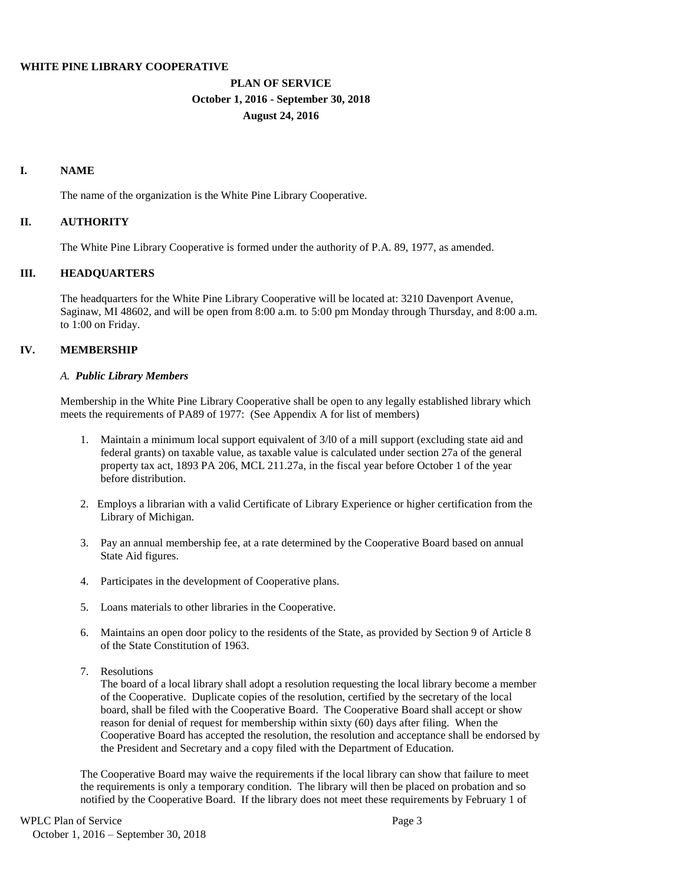#### **WHITE PINE LIBRARY COOPERATIVE**

# **PLAN OF SERVICE October 1, 2016 - September 30, 2018 August 24, 2016**

#### **I. NAME**

The name of the organization is the White Pine Library Cooperative.

# **II. AUTHORITY**

The White Pine Library Cooperative is formed under the authority of P.A. 89, 1977, as amended.

# **III. HEADQUARTERS**

The headquarters for the White Pine Library Cooperative will be located at: 3210 Davenport Avenue, Saginaw, MI 48602, and will be open from 8:00 a.m. to 5:00 pm Monday through Thursday, and 8:00 a.m. to 1:00 on Friday.

# **IV. MEMBERSHIP**

#### *A. Public Library Members*

Membership in the White Pine Library Cooperative shall be open to any legally established library which meets the requirements of PA89 of 1977: (See Appendix A for list of members)

- 1. Maintain a minimum local support equivalent of 3/l0 of a mill support (excluding state aid and federal grants) on taxable value, as taxable value is calculated under section 27a of the general property tax act, 1893 PA 206, MCL 211.27a, in the fiscal year before October 1 of the year before distribution.
- 2. Employs a librarian with a valid Certificate of Library Experience or higher certification from the Library of Michigan.
- 3. Pay an annual membership fee, at a rate determined by the Cooperative Board based on annual State Aid figures.
- 4. Participates in the development of Cooperative plans.
- 5. Loans materials to other libraries in the Cooperative.
- 6. Maintains an open door policy to the residents of the State, as provided by Section 9 of Article 8 of the State Constitution of 1963.
- 7. Resolutions

The board of a local library shall adopt a resolution requesting the local library become a member of the Cooperative. Duplicate copies of the resolution, certified by the secretary of the local board, shall be filed with the Cooperative Board. The Cooperative Board shall accept or show reason for denial of request for membership within sixty (60) days after filing. When the Cooperative Board has accepted the resolution, the resolution and acceptance shall be endorsed by the President and Secretary and a copy filed with the Department of Education.

The Cooperative Board may waive the requirements if the local library can show that failure to meet the requirements is only a temporary condition. The library will then be placed on probation and so notified by the Cooperative Board. If the library does not meet these requirements by February 1 of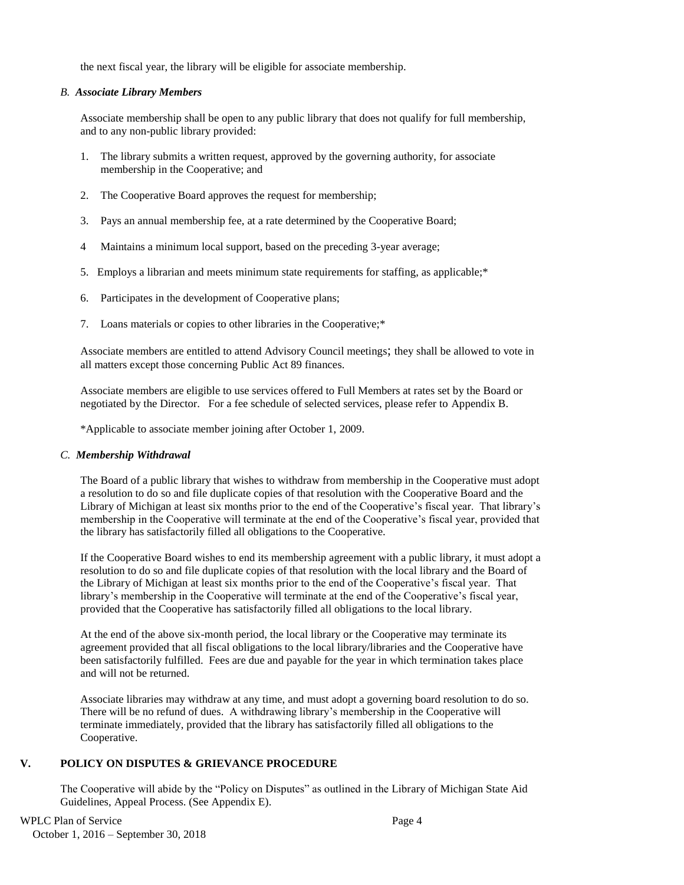the next fiscal year, the library will be eligible for associate membership.

#### *B. Associate Library Members*

Associate membership shall be open to any public library that does not qualify for full membership, and to any non-public library provided:

- 1. The library submits a written request, approved by the governing authority, for associate membership in the Cooperative; and
- 2. The Cooperative Board approves the request for membership;
- 3. Pays an annual membership fee, at a rate determined by the Cooperative Board;
- 4 Maintains a minimum local support, based on the preceding 3-year average;
- 5. Employs a librarian and meets minimum state requirements for staffing, as applicable;\*
- 6. Participates in the development of Cooperative plans;
- 7. Loans materials or copies to other libraries in the Cooperative;\*

Associate members are entitled to attend Advisory Council meetings; they shall be allowed to vote in all matters except those concerning Public Act 89 finances.

Associate members are eligible to use services offered to Full Members at rates set by the Board or negotiated by the Director. For a fee schedule of selected services, please refer to Appendix B.

\*Applicable to associate member joining after October 1, 2009.

# *C. Membership Withdrawal*

The Board of a public library that wishes to withdraw from membership in the Cooperative must adopt a resolution to do so and file duplicate copies of that resolution with the Cooperative Board and the Library of Michigan at least six months prior to the end of the Cooperative's fiscal year. That library's membership in the Cooperative will terminate at the end of the Cooperative's fiscal year, provided that the library has satisfactorily filled all obligations to the Cooperative.

If the Cooperative Board wishes to end its membership agreement with a public library, it must adopt a resolution to do so and file duplicate copies of that resolution with the local library and the Board of the Library of Michigan at least six months prior to the end of the Cooperative's fiscal year. That library's membership in the Cooperative will terminate at the end of the Cooperative's fiscal year, provided that the Cooperative has satisfactorily filled all obligations to the local library.

At the end of the above six-month period, the local library or the Cooperative may terminate its agreement provided that all fiscal obligations to the local library/libraries and the Cooperative have been satisfactorily fulfilled. Fees are due and payable for the year in which termination takes place and will not be returned.

Associate libraries may withdraw at any time, and must adopt a governing board resolution to do so. There will be no refund of dues. A withdrawing library's membership in the Cooperative will terminate immediately, provided that the library has satisfactorily filled all obligations to the Cooperative.

# **V. POLICY ON DISPUTES & GRIEVANCE PROCEDURE**

The Cooperative will abide by the "Policy on Disputes" as outlined in the Library of Michigan State Aid Guidelines, Appeal Process. (See Appendix E).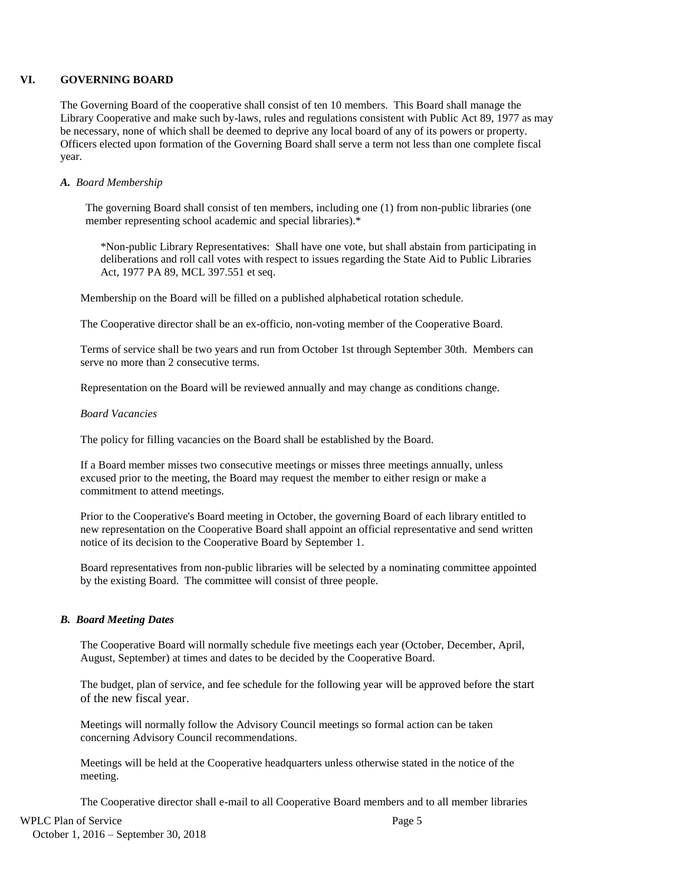#### **VI. GOVERNING BOARD**

The Governing Board of the cooperative shall consist of ten 10 members. This Board shall manage the Library Cooperative and make such by-laws, rules and regulations consistent with Public Act 89, 1977 as may be necessary, none of which shall be deemed to deprive any local board of any of its powers or property. Officers elected upon formation of the Governing Board shall serve a term not less than one complete fiscal year.

#### *A. Board Membership*

The governing Board shall consist of ten members, including one (1) from non-public libraries (one member representing school academic and special libraries).\*

\*Non-public Library Representatives: Shall have one vote, but shall abstain from participating in deliberations and roll call votes with respect to issues regarding the State Aid to Public Libraries Act, 1977 PA 89, MCL 397.551 et seq.

Membership on the Board will be filled on a published alphabetical rotation schedule.

The Cooperative director shall be an ex-officio, non-voting member of the Cooperative Board.

Terms of service shall be two years and run from October 1st through September 30th. Members can serve no more than 2 consecutive terms.

Representation on the Board will be reviewed annually and may change as conditions change.

#### *Board Vacancies*

The policy for filling vacancies on the Board shall be established by the Board.

If a Board member misses two consecutive meetings or misses three meetings annually, unless excused prior to the meeting, the Board may request the member to either resign or make a commitment to attend meetings.

Prior to the Cooperative's Board meeting in October, the governing Board of each library entitled to new representation on the Cooperative Board shall appoint an official representative and send written notice of its decision to the Cooperative Board by September 1.

Board representatives from non-public libraries will be selected by a nominating committee appointed by the existing Board. The committee will consist of three people.

#### *B. Board Meeting Dates*

The Cooperative Board will normally schedule five meetings each year (October, December, April, August, September) at times and dates to be decided by the Cooperative Board.

The budget, plan of service, and fee schedule for the following year will be approved before the start of the new fiscal year.

Meetings will normally follow the Advisory Council meetings so formal action can be taken concerning Advisory Council recommendations.

Meetings will be held at the Cooperative headquarters unless otherwise stated in the notice of the meeting.

The Cooperative director shall e-mail to all Cooperative Board members and to all member libraries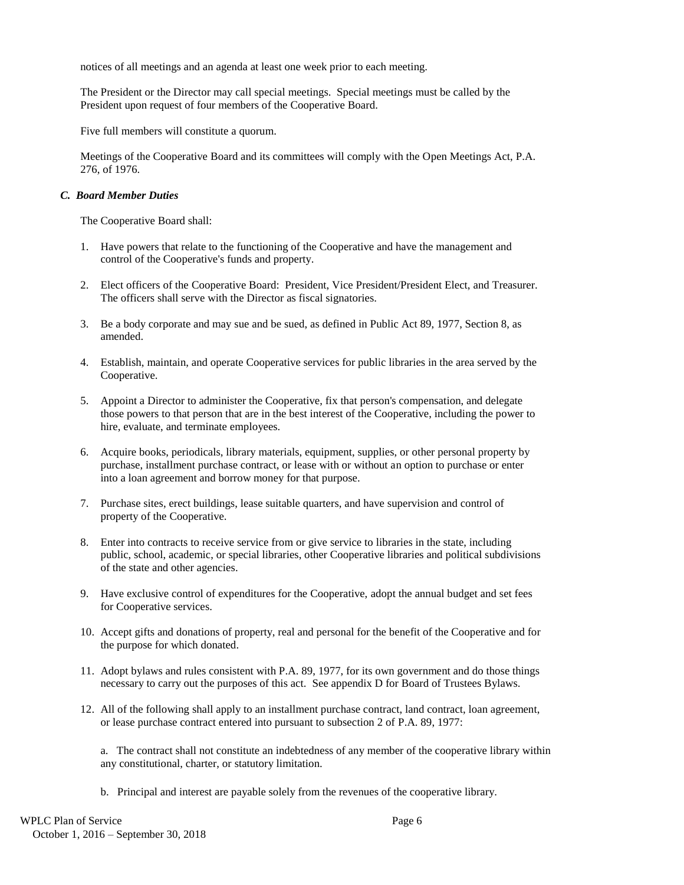notices of all meetings and an agenda at least one week prior to each meeting.

The President or the Director may call special meetings. Special meetings must be called by the President upon request of four members of the Cooperative Board.

Five full members will constitute a quorum.

Meetings of the Cooperative Board and its committees will comply with the Open Meetings Act, P.A. 276, of 1976.

#### *C. Board Member Duties*

The Cooperative Board shall:

- 1. Have powers that relate to the functioning of the Cooperative and have the management and control of the Cooperative's funds and property.
- 2. Elect officers of the Cooperative Board: President, Vice President/President Elect, and Treasurer. The officers shall serve with the Director as fiscal signatories.
- 3. Be a body corporate and may sue and be sued, as defined in Public Act 89, 1977, Section 8, as amended.
- 4. Establish, maintain, and operate Cooperative services for public libraries in the area served by the Cooperative.
- 5. Appoint a Director to administer the Cooperative, fix that person's compensation, and delegate those powers to that person that are in the best interest of the Cooperative, including the power to hire, evaluate, and terminate employees.
- 6. Acquire books, periodicals, library materials, equipment, supplies, or other personal property by purchase, installment purchase contract, or lease with or without an option to purchase or enter into a loan agreement and borrow money for that purpose.
- 7. Purchase sites, erect buildings, lease suitable quarters, and have supervision and control of property of the Cooperative.
- 8. Enter into contracts to receive service from or give service to libraries in the state, including public, school, academic, or special libraries, other Cooperative libraries and political subdivisions of the state and other agencies.
- 9. Have exclusive control of expenditures for the Cooperative, adopt the annual budget and set fees for Cooperative services.
- 10. Accept gifts and donations of property, real and personal for the benefit of the Cooperative and for the purpose for which donated.
- 11. Adopt bylaws and rules consistent with P.A. 89, 1977, for its own government and do those things necessary to carry out the purposes of this act. See appendix D for Board of Trustees Bylaws.
- 12. All of the following shall apply to an installment purchase contract, land contract, loan agreement, or lease purchase contract entered into pursuant to subsection 2 of P.A. 89, 1977:

a. The contract shall not constitute an indebtedness of any member of the cooperative library within any constitutional, charter, or statutory limitation.

b. Principal and interest are payable solely from the revenues of the cooperative library.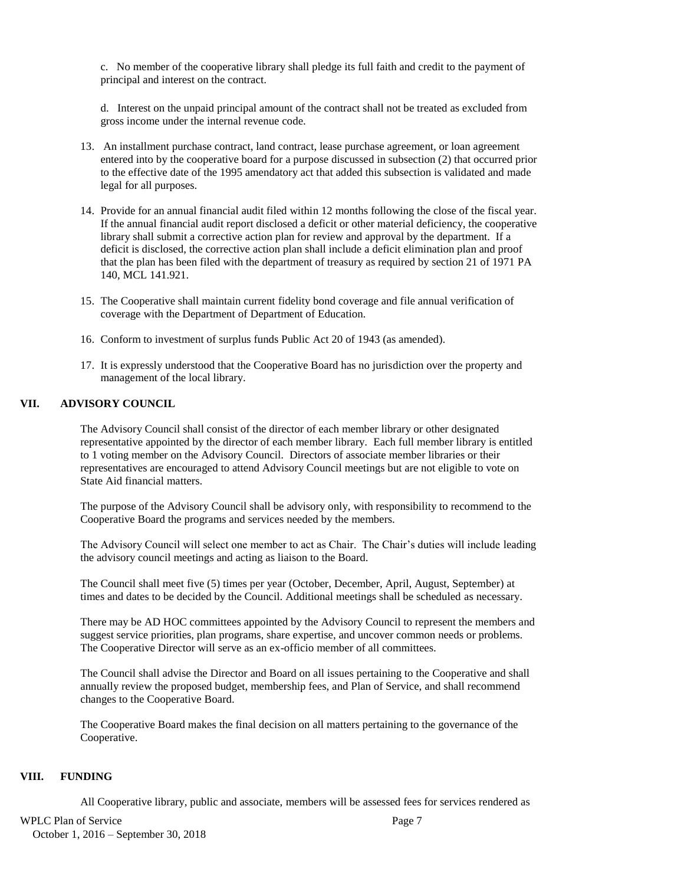c. No member of the cooperative library shall pledge its full faith and credit to the payment of principal and interest on the contract.

d. Interest on the unpaid principal amount of the contract shall not be treated as excluded from gross income under the internal revenue code.

- 13. An installment purchase contract, land contract, lease purchase agreement, or loan agreement entered into by the cooperative board for a purpose discussed in subsection (2) that occurred prior to the effective date of the 1995 amendatory act that added this subsection is validated and made legal for all purposes.
- 14. Provide for an annual financial audit filed within 12 months following the close of the fiscal year. If the annual financial audit report disclosed a deficit or other material deficiency, the cooperative library shall submit a corrective action plan for review and approval by the department. If a deficit is disclosed, the corrective action plan shall include a deficit elimination plan and proof that the plan has been filed with the department of treasury as required by section 21 of 1971 PA 140, MCL 141.921.
- 15. The Cooperative shall maintain current fidelity bond coverage and file annual verification of coverage with the Department of Department of Education.
- 16. Conform to investment of surplus funds Public Act 20 of 1943 (as amended).
- 17. It is expressly understood that the Cooperative Board has no jurisdiction over the property and management of the local library.

# **VII. ADVISORY COUNCIL**

The Advisory Council shall consist of the director of each member library or other designated representative appointed by the director of each member library. Each full member library is entitled to 1 voting member on the Advisory Council. Directors of associate member libraries or their representatives are encouraged to attend Advisory Council meetings but are not eligible to vote on State Aid financial matters.

The purpose of the Advisory Council shall be advisory only, with responsibility to recommend to the Cooperative Board the programs and services needed by the members.

The Advisory Council will select one member to act as Chair. The Chair's duties will include leading the advisory council meetings and acting as liaison to the Board.

The Council shall meet five (5) times per year (October, December, April, August, September) at times and dates to be decided by the Council. Additional meetings shall be scheduled as necessary.

There may be AD HOC committees appointed by the Advisory Council to represent the members and suggest service priorities, plan programs, share expertise, and uncover common needs or problems. The Cooperative Director will serve as an ex-officio member of all committees.

The Council shall advise the Director and Board on all issues pertaining to the Cooperative and shall annually review the proposed budget, membership fees, and Plan of Service, and shall recommend changes to the Cooperative Board.

The Cooperative Board makes the final decision on all matters pertaining to the governance of the Cooperative.

#### **VIII. FUNDING**

All Cooperative library, public and associate, members will be assessed fees for services rendered as

# WPLC Plan of Service Page 7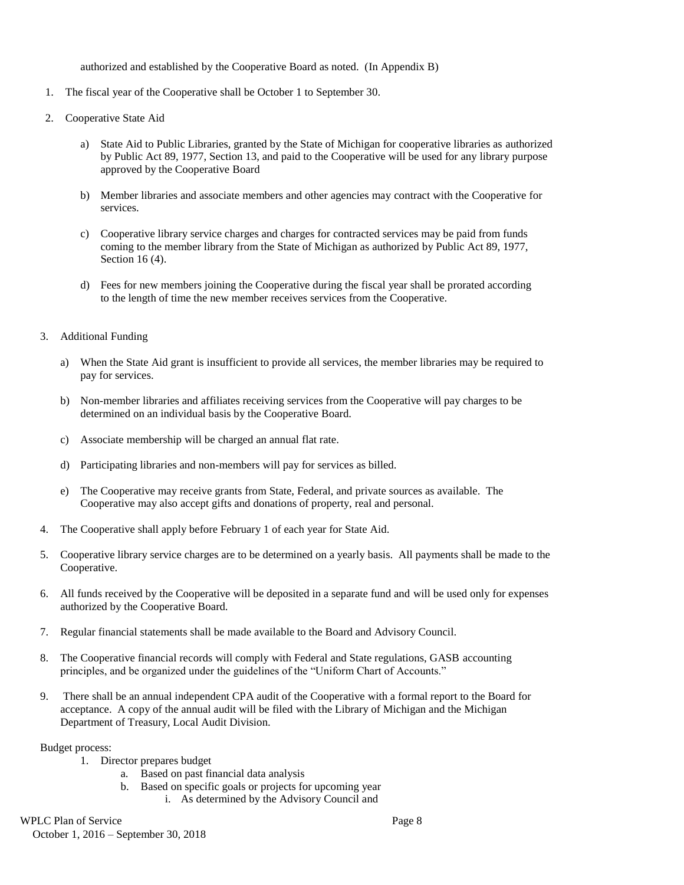authorized and established by the Cooperative Board as noted. (In Appendix B)

- 1. The fiscal year of the Cooperative shall be October 1 to September 30.
- 2. Cooperative State Aid
	- a) State Aid to Public Libraries, granted by the State of Michigan for cooperative libraries as authorized by Public Act 89, 1977, Section 13, and paid to the Cooperative will be used for any library purpose approved by the Cooperative Board
	- b) Member libraries and associate members and other agencies may contract with the Cooperative for services.
	- c) Cooperative library service charges and charges for contracted services may be paid from funds coming to the member library from the State of Michigan as authorized by Public Act 89, 1977, Section 16 (4).
	- d) Fees for new members joining the Cooperative during the fiscal year shall be prorated according to the length of time the new member receives services from the Cooperative.
- 3. Additional Funding
	- a) When the State Aid grant is insufficient to provide all services, the member libraries may be required to pay for services.
	- b) Non-member libraries and affiliates receiving services from the Cooperative will pay charges to be determined on an individual basis by the Cooperative Board.
	- c) Associate membership will be charged an annual flat rate.
	- d) Participating libraries and non-members will pay for services as billed.
	- e) The Cooperative may receive grants from State, Federal, and private sources as available. The Cooperative may also accept gifts and donations of property, real and personal.
- 4. The Cooperative shall apply before February 1 of each year for State Aid.
- 5. Cooperative library service charges are to be determined on a yearly basis. All payments shall be made to the Cooperative.
- 6. All funds received by the Cooperative will be deposited in a separate fund and will be used only for expenses authorized by the Cooperative Board.
- 7. Regular financial statements shall be made available to the Board and Advisory Council.
- 8. The Cooperative financial records will comply with Federal and State regulations, GASB accounting principles, and be organized under the guidelines of the "Uniform Chart of Accounts."
- 9. There shall be an annual independent CPA audit of the Cooperative with a formal report to the Board for acceptance. A copy of the annual audit will be filed with the Library of Michigan and the Michigan Department of Treasury, Local Audit Division.

Budget process:

- 1. Director prepares budget
	- a. Based on past financial data analysis
	- b. Based on specific goals or projects for upcoming year
		- i. As determined by the Advisory Council and

# WPLC Plan of Service Page 8

October 1, 2016 – September 30, 2018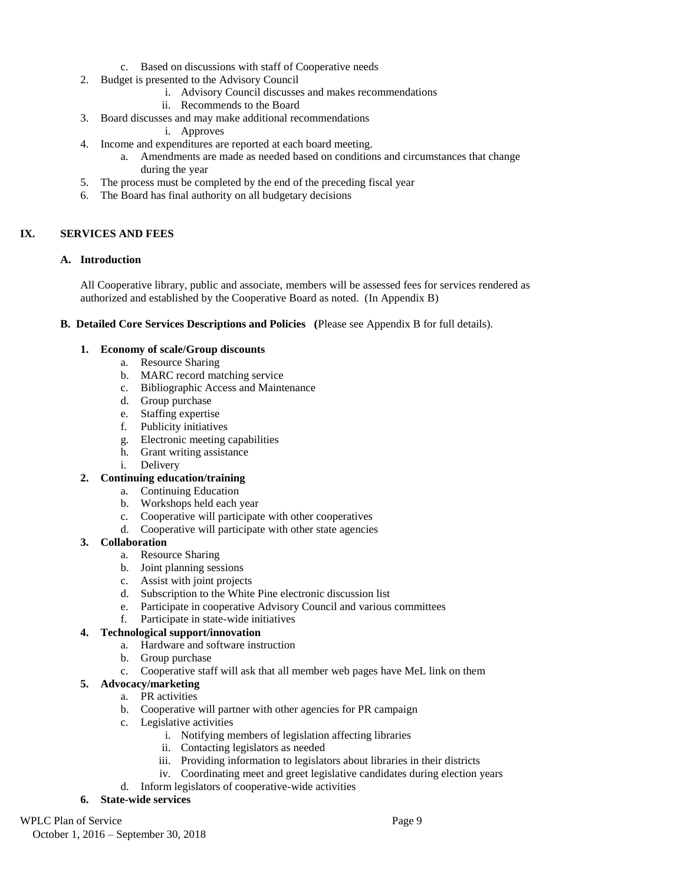- c. Based on discussions with staff of Cooperative needs
- 2. Budget is presented to the Advisory Council
	- i. Advisory Council discusses and makes recommendations
	- ii. Recommends to the Board
- 3. Board discusses and may make additional recommendations
	- i. Approves
- 4. Income and expenditures are reported at each board meeting.
	- a. Amendments are made as needed based on conditions and circumstances that change during the year
- 5. The process must be completed by the end of the preceding fiscal year
- 6. The Board has final authority on all budgetary decisions

# **IX. SERVICES AND FEES**

# **A. Introduction**

All Cooperative library, public and associate, members will be assessed fees for services rendered as authorized and established by the Cooperative Board as noted. (In Appendix B)

# **B. Detailed Core Services Descriptions and Policies (**Please see Appendix B for full details).

# **1. Economy of scale/Group discounts**

- a. Resource Sharing
	- b. MARC record matching service
	- c. Bibliographic Access and Maintenance
	- d. Group purchase
	- e. Staffing expertise
	- f. Publicity initiatives
	- g. Electronic meeting capabilities
	- h. Grant writing assistance
	- i. Delivery

# **2. Continuing education/training**

- a. Continuing Education
- b. Workshops held each year
- c. Cooperative will participate with other cooperatives
- d. Cooperative will participate with other state agencies

# **3. Collaboration**

- a. Resource Sharing
- b. Joint planning sessions
- c. Assist with joint projects
- d. Subscription to the White Pine electronic discussion list
- e. Participate in cooperative Advisory Council and various committees
- f. Participate in state-wide initiatives

# **4. Technological support/innovation**

- a. Hardware and software instruction
- b. Group purchase
	- c. Cooperative staff will ask that all member web pages have MeL link on them

# **5. Advocacy/marketing**

- a. PR activities
- b. Cooperative will partner with other agencies for PR campaign
- c. Legislative activities
	- i. Notifying members of legislation affecting libraries
	- ii. Contacting legislators as needed
	- iii. Providing information to legislators about libraries in their districts
	- iv. Coordinating meet and greet legislative candidates during election years
- d. Inform legislators of cooperative-wide activities

# **6. State-wide services**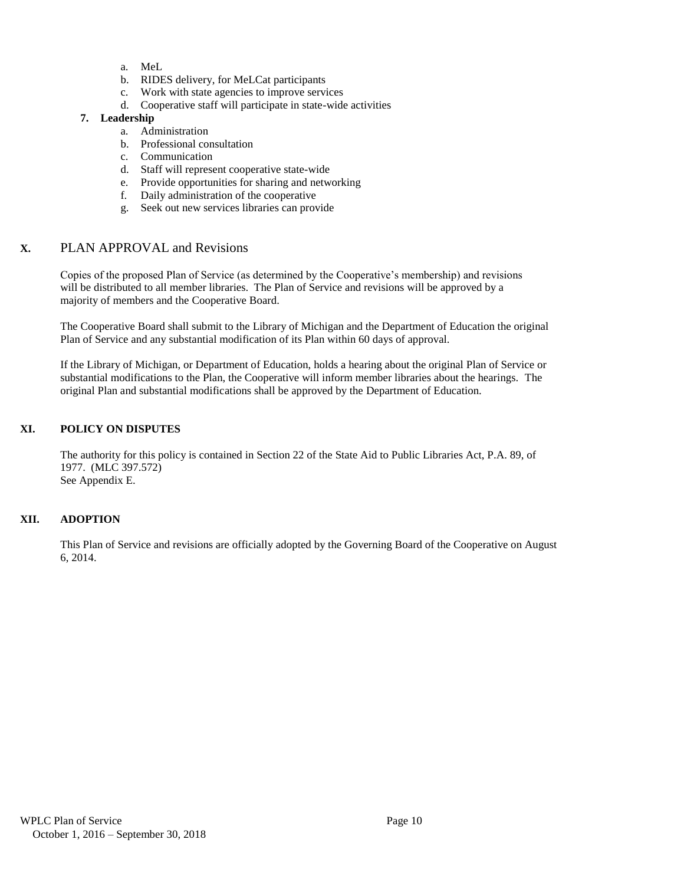- a. MeL
- b. RIDES delivery, for MeLCat participants
- c. Work with state agencies to improve services
- d. Cooperative staff will participate in state-wide activities

# **7. Leadership**

- a. Administration
- b. Professional consultation
- c. Communication
- d. Staff will represent cooperative state-wide
- e. Provide opportunities for sharing and networking
- f. Daily administration of the cooperative
- g. Seek out new services libraries can provide

# **X.** PLAN APPROVAL and Revisions

Copies of the proposed Plan of Service (as determined by the Cooperative's membership) and revisions will be distributed to all member libraries. The Plan of Service and revisions will be approved by a majority of members and the Cooperative Board.

The Cooperative Board shall submit to the Library of Michigan and the Department of Education the original Plan of Service and any substantial modification of its Plan within 60 days of approval.

If the Library of Michigan, or Department of Education, holds a hearing about the original Plan of Service or substantial modifications to the Plan, the Cooperative will inform member libraries about the hearings. The original Plan and substantial modifications shall be approved by the Department of Education.

# **XI. POLICY ON DISPUTES**

The authority for this policy is contained in Section 22 of the State Aid to Public Libraries Act, P.A. 89, of 1977. (MLC 397.572) See Appendix E.

# **XII. ADOPTION**

This Plan of Service and revisions are officially adopted by the Governing Board of the Cooperative on August 6, 2014.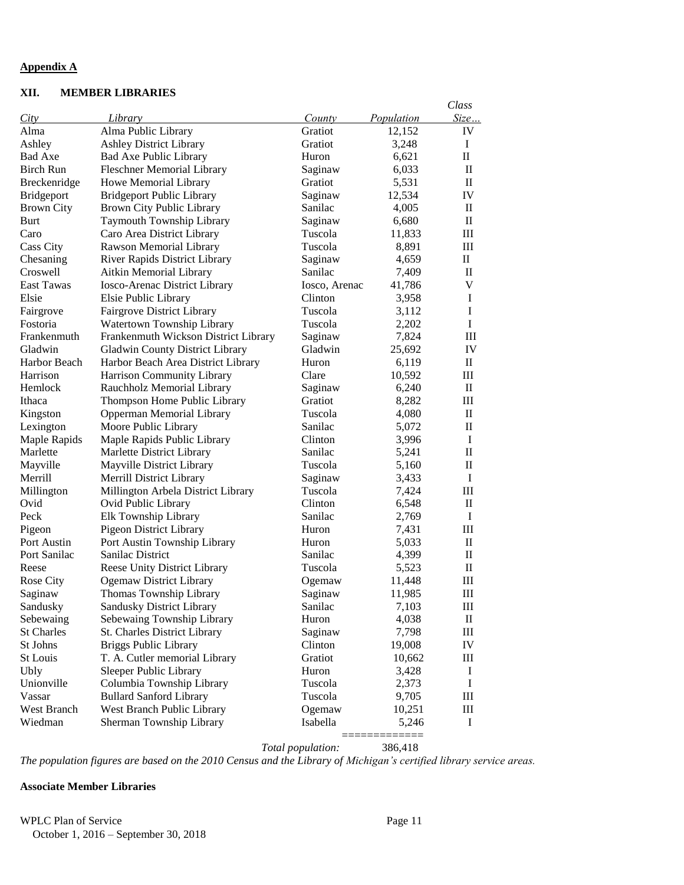#### **Appendix A**

# **XII. MEMBER LIBRARIES**

|                   |                                      |               |            | Class              |
|-------------------|--------------------------------------|---------------|------------|--------------------|
| City              | Library                              | County        | Population | Size               |
| Alma              | Alma Public Library                  | Gratiot       | 12,152     | IV                 |
| Ashley            | <b>Ashley District Library</b>       | Gratiot       | 3,248      | I                  |
| Bad Axe           | Bad Axe Public Library               | Huron         | 6,621      | $\mathbf{I}$       |
| Birch Run         | <b>Fleschner Memorial Library</b>    | Saginaw       | 6,033      | $\mathbf{I}$       |
| Breckenridge      | Howe Memorial Library                | Gratiot       | 5,531      | $\mathbf{I}$       |
| Bridgeport        | <b>Bridgeport Public Library</b>     | Saginaw       | 12,534     | IV                 |
| <b>Brown City</b> | Brown City Public Library            | Sanilac       | 4,005      | $\mathbf{I}$       |
| Burt              | Taymouth Township Library            | Saginaw       | 6,680      | $\mathbf{I}$       |
| Caro              | Caro Area District Library           | Tuscola       | 11,833     | Ш                  |
| Cass City         | Rawson Memorial Library              | Tuscola       | 8,891      | Ш                  |
| Chesaning         | River Rapids District Library        | Saginaw       | 4,659      | $\rm{II}$          |
| Croswell          | Aitkin Memorial Library              | Sanilac       | 7,409      | $\rm II$           |
| <b>East Tawas</b> | Iosco-Arenac District Library        | Iosco, Arenac | 41,786     | V                  |
| Elsie             | Elsie Public Library                 | Clinton       | 3,958      | I                  |
| Fairgrove         | <b>Fairgrove District Library</b>    | Tuscola       | 3,112      | I                  |
| Fostoria          | Watertown Township Library           | Tuscola       | 2,202      | $\bf{I}$           |
| Frankenmuth       | Frankenmuth Wickson District Library | Saginaw       | 7,824      | III                |
| Gladwin           | Gladwin County District Library      | Gladwin       | 25,692     | IV                 |
| Harbor Beach      | Harbor Beach Area District Library   | Huron         | 6,119      | $\mathbf{I}$       |
| Harrison          | Harrison Community Library           | Clare         | 10,592     | III                |
| Hemlock           | Rauchholz Memorial Library           | Saginaw       | 6,240      | $\rm II$           |
| Ithaca            | Thompson Home Public Library         | Gratiot       | 8,282      | $\mathop{\rm III}$ |
| Kingston          | Opperman Memorial Library            | Tuscola       | 4,080      | $\mathbf{I}$       |
| Lexington         | Moore Public Library                 | Sanilac       | 5,072      | $\mathbf{I}$       |
| Maple Rapids      | Maple Rapids Public Library          | Clinton       | 3,996      | $\bf{I}$           |
| Marlette          | Marlette District Library            | Sanilac       | 5,241      | $\mathbf{I}$       |
| Mayville          | Mayville District Library            | Tuscola       | 5,160      | $\mathbf{I}$       |
| Merrill           | Merrill District Library             | Saginaw       | 3,433      | I                  |
| Millington        | Millington Arbela District Library   | Tuscola       | 7,424      | III                |
| Ovid              | Ovid Public Library                  | Clinton       | 6,548      | $\mathbf{I}$       |
| Peck              | Elk Township Library                 | Sanilac       | 2,769      | $\mathbf I$        |
| Pigeon            | <b>Pigeon District Library</b>       | Huron         | 7,431      | III                |
| Port Austin       | Port Austin Township Library         | Huron         | 5,033      | $\rm II$           |
| Port Sanilac      | Sanilac District                     | Sanilac       | 4,399      | $\mathbf{I}$       |
| Reese             | Reese Unity District Library         | Tuscola       | 5,523      | $\rm II$           |
| Rose City         | <b>Ogemaw District Library</b>       | Ogemaw        | 11,448     | Ш                  |
| Saginaw           | Thomas Township Library              | Saginaw       | 11,985     | Ш                  |
| Sandusky          | Sandusky District Library            | Sanilac       | 7,103      | Ш                  |
| Sebewaing         | Sebewaing Township Library           | Huron         | 4,038      | $\rm _{II}$        |
| <b>St Charles</b> | St. Charles District Library         | Saginaw       | 7,798      | $\rm III$          |
| St Johns          | <b>Briggs Public Library</b>         | Clinton       | 19,008     | IV                 |
| St Louis          | T. A. Cutler memorial Library        | Gratiot       | 10,662     | Ш                  |
| <b>Ubly</b>       | Sleeper Public Library               | Huron         | 3,428      | $\bf{I}$           |
| Unionville        | Columbia Township Library            | Tuscola       | 2,373      | $\bf{I}$           |
| Vassar            | <b>Bullard Sanford Library</b>       | Tuscola       | 9,705      | $\rm III$          |
| West Branch       | West Branch Public Library           | Ogemaw        | 10,251     | Ш                  |
| Wiedman           | Sherman Township Library             | Isabella      | 5,246      | I                  |
|                   |                                      |               |            |                    |

*Total population:* 386,418

*The population figures are based on the 2010 Census and the Library of Michigan's certified library service areas.*

# **Associate Member Libraries**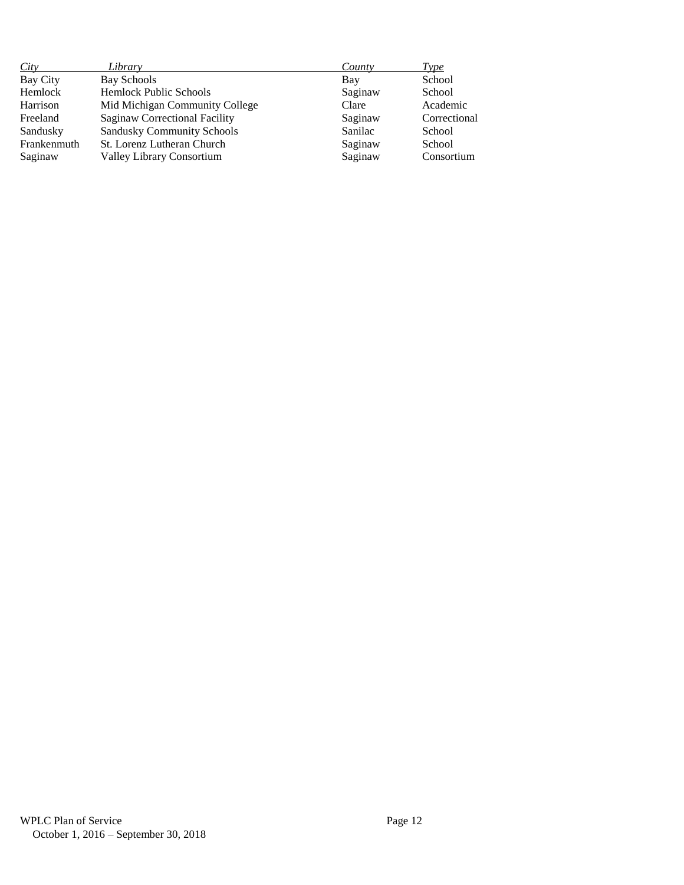| City        | Library                           | County  | <i>Type</i>  |
|-------------|-----------------------------------|---------|--------------|
| Bay City    | Bay Schools                       | Bay     | School       |
| Hemlock     | <b>Hemlock Public Schools</b>     | Saginaw | School       |
| Harrison    | Mid Michigan Community College    | Clare   | Academic     |
| Freeland    | Saginaw Correctional Facility     | Saginaw | Correctional |
| Sandusky    | <b>Sandusky Community Schools</b> | Sanilac | School       |
| Frankenmuth | St. Lorenz Lutheran Church        | Saginaw | School       |
| Saginaw     | <b>Valley Library Consortium</b>  | Saginaw | Consortium   |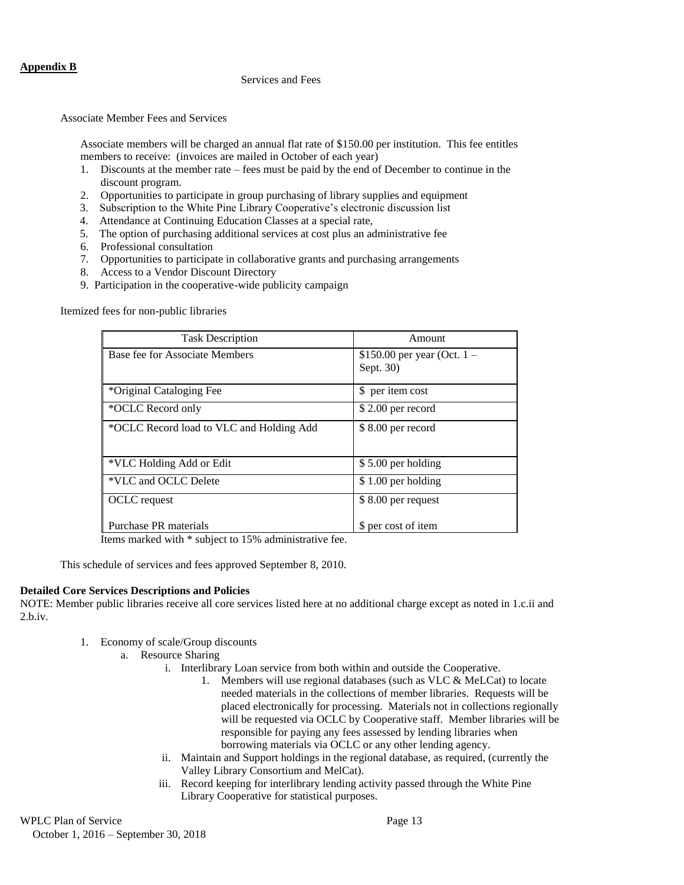#### Services and Fees

Associate Member Fees and Services

Associate members will be charged an annual flat rate of \$150.00 per institution. This fee entitles members to receive: (invoices are mailed in October of each year)

- 1. Discounts at the member rate fees must be paid by the end of December to continue in the discount program.
- 2. Opportunities to participate in group purchasing of library supplies and equipment
- 3. Subscription to the White Pine Library Cooperative's electronic discussion list
- 4. Attendance at Continuing Education Classes at a special rate,
- 5. The option of purchasing additional services at cost plus an administrative fee
- 6. Professional consultation
- 7. Opportunities to participate in collaborative grants and purchasing arrangements
- 8. Access to a Vendor Discount Directory
- 9. Participation in the cooperative-wide publicity campaign

Itemized fees for non-public libraries

| <b>Task Description</b>                  | Amount                                     |  |
|------------------------------------------|--------------------------------------------|--|
| Base fee for Associate Members           | \$150.00 per year (Oct. $1 -$<br>Sept. 30) |  |
|                                          |                                            |  |
| *Original Cataloging Fee                 | \$ per item cost                           |  |
| *OCLC Record only                        | $$2.00$ per record                         |  |
| *OCLC Record load to VLC and Holding Add | $$8.00$ per record                         |  |
| *VLC Holding Add or Edit                 | \$5.00 per holding                         |  |
| *VLC and OCLC Delete                     | \$1.00 per holding                         |  |
| OCLC request                             | \$8.00 per request                         |  |
| Purchase PR materials                    | \$ per cost of item                        |  |

Items marked with \* subject to 15% administrative fee.

This schedule of services and fees approved September 8, 2010.

#### **Detailed Core Services Descriptions and Policies**

NOTE: Member public libraries receive all core services listed here at no additional charge except as noted in 1.c.ii and 2.b.iv.

- 1. Economy of scale/Group discounts
	- a. Resource Sharing
		- i. Interlibrary Loan service from both within and outside the Cooperative.
			- 1. Members will use regional databases (such as VLC & MeLCat) to locate needed materials in the collections of member libraries. Requests will be placed electronically for processing. Materials not in collections regionally will be requested via OCLC by Cooperative staff. Member libraries will be responsible for paying any fees assessed by lending libraries when borrowing materials via OCLC or any other lending agency.
		- ii. Maintain and Support holdings in the regional database, as required, (currently the Valley Library Consortium and MelCat).
		- iii. Record keeping for interlibrary lending activity passed through the White Pine Library Cooperative for statistical purposes.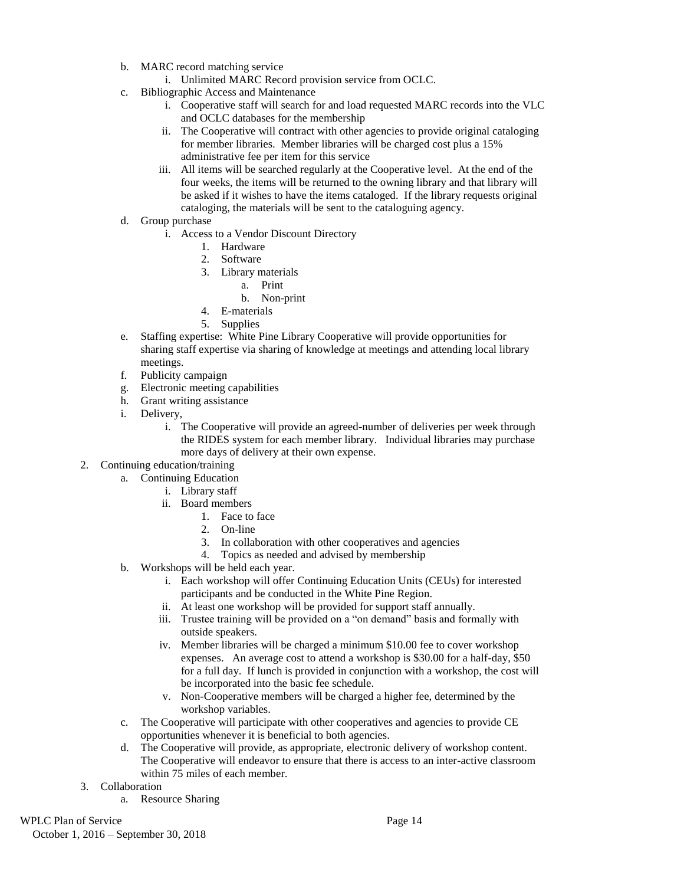b. MARC record matching service

i. Unlimited MARC Record provision service from OCLC.

- c. Bibliographic Access and Maintenance
	- i. Cooperative staff will search for and load requested MARC records into the VLC and OCLC databases for the membership
	- ii. The Cooperative will contract with other agencies to provide original cataloging for member libraries. Member libraries will be charged cost plus a 15% administrative fee per item for this service
	- iii. All items will be searched regularly at the Cooperative level. At the end of the four weeks, the items will be returned to the owning library and that library will be asked if it wishes to have the items cataloged. If the library requests original cataloging, the materials will be sent to the cataloguing agency.
- d. Group purchase
	- i. Access to a Vendor Discount Directory
		- 1. Hardware
		- 2. Software
		- 3. Library materials
			- a. Print
			- b. Non-print
		- 4. E-materials
		- 5. Supplies
- e. Staffing expertise: White Pine Library Cooperative will provide opportunities for sharing staff expertise via sharing of knowledge at meetings and attending local library meetings.
- f. Publicity campaign
- g. Electronic meeting capabilities
- h. Grant writing assistance
- i. Delivery,
	- i. The Cooperative will provide an agreed-number of deliveries per week through the RIDES system for each member library. Individual libraries may purchase more days of delivery at their own expense.
- 2. Continuing education/training
	- a. Continuing Education
		- i. Library staff
		- ii. Board members
			- 1. Face to face
			- 2. On-line
			- 3. In collaboration with other cooperatives and agencies
			- 4. Topics as needed and advised by membership
	- b. Workshops will be held each year.
		- i. Each workshop will offer Continuing Education Units (CEUs) for interested participants and be conducted in the White Pine Region.
		- ii. At least one workshop will be provided for support staff annually.
		- iii. Trustee training will be provided on a "on demand" basis and formally with outside speakers.
		- iv. Member libraries will be charged a minimum \$10.00 fee to cover workshop expenses. An average cost to attend a workshop is \$30.00 for a half-day, \$50 for a full day. If lunch is provided in conjunction with a workshop, the cost will be incorporated into the basic fee schedule.
		- v. Non-Cooperative members will be charged a higher fee, determined by the workshop variables.
	- c. The Cooperative will participate with other cooperatives and agencies to provide CE opportunities whenever it is beneficial to both agencies.
	- d. The Cooperative will provide, as appropriate, electronic delivery of workshop content. The Cooperative will endeavor to ensure that there is access to an inter-active classroom within 75 miles of each member.
- 3. Collaboration
	- a. Resource Sharing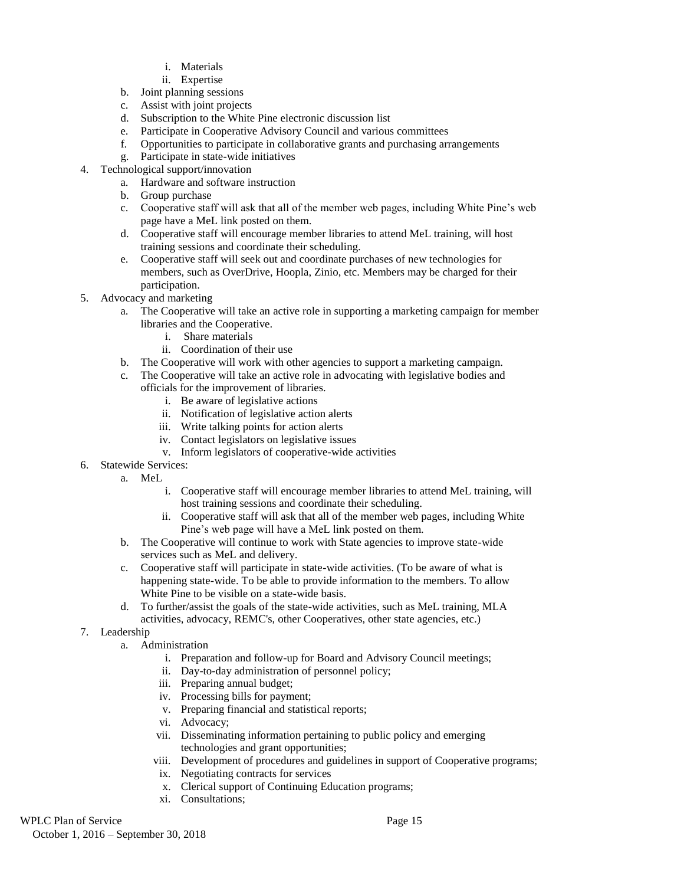- i. Materials
- ii. Expertise
- b. Joint planning sessions
- c. Assist with joint projects
- d. Subscription to the White Pine electronic discussion list
- e. Participate in Cooperative Advisory Council and various committees
- f. Opportunities to participate in collaborative grants and purchasing arrangements
- g. Participate in state-wide initiatives
- 4. Technological support/innovation
	- a. Hardware and software instruction
	- b. Group purchase
	- c. Cooperative staff will ask that all of the member web pages, including White Pine's web page have a MeL link posted on them.
	- d. Cooperative staff will encourage member libraries to attend MeL training, will host training sessions and coordinate their scheduling.
	- e. Cooperative staff will seek out and coordinate purchases of new technologies for members, such as OverDrive, Hoopla, Zinio, etc. Members may be charged for their participation.
- 5. Advocacy and marketing
	- a. The Cooperative will take an active role in supporting a marketing campaign for member libraries and the Cooperative.
		- i. Share materials
		- ii. Coordination of their use
	- b. The Cooperative will work with other agencies to support a marketing campaign.
	- c. The Cooperative will take an active role in advocating with legislative bodies and officials for the improvement of libraries.
		- i. Be aware of legislative actions
		- ii. Notification of legislative action alerts
		- iii. Write talking points for action alerts
		- iv. Contact legislators on legislative issues
		- v. Inform legislators of cooperative-wide activities
- 6. Statewide Services:
	- a. MeL
		- i. Cooperative staff will encourage member libraries to attend MeL training, will host training sessions and coordinate their scheduling.
		- ii. Cooperative staff will ask that all of the member web pages, including White Pine's web page will have a MeL link posted on them.
	- b. The Cooperative will continue to work with State agencies to improve state-wide services such as MeL and delivery.
	- c. Cooperative staff will participate in state-wide activities. (To be aware of what is happening state-wide. To be able to provide information to the members. To allow White Pine to be visible on a state-wide basis.
	- d. To further/assist the goals of the state-wide activities, such as MeL training, MLA activities, advocacy, REMC's, other Cooperatives, other state agencies, etc.)
- 7. Leadership
	- a. Administration
		- i. Preparation and follow-up for Board and Advisory Council meetings;
		- ii. Day-to-day administration of personnel policy;
		- iii. Preparing annual budget;
		- iv. Processing bills for payment;
		- v. Preparing financial and statistical reports;
		- vi. Advocacy;
		- vii. Disseminating information pertaining to public policy and emerging technologies and grant opportunities;
		- viii. Development of procedures and guidelines in support of Cooperative programs;
		- ix. Negotiating contracts for services
		- x. Clerical support of Continuing Education programs;
		- xi. Consultations;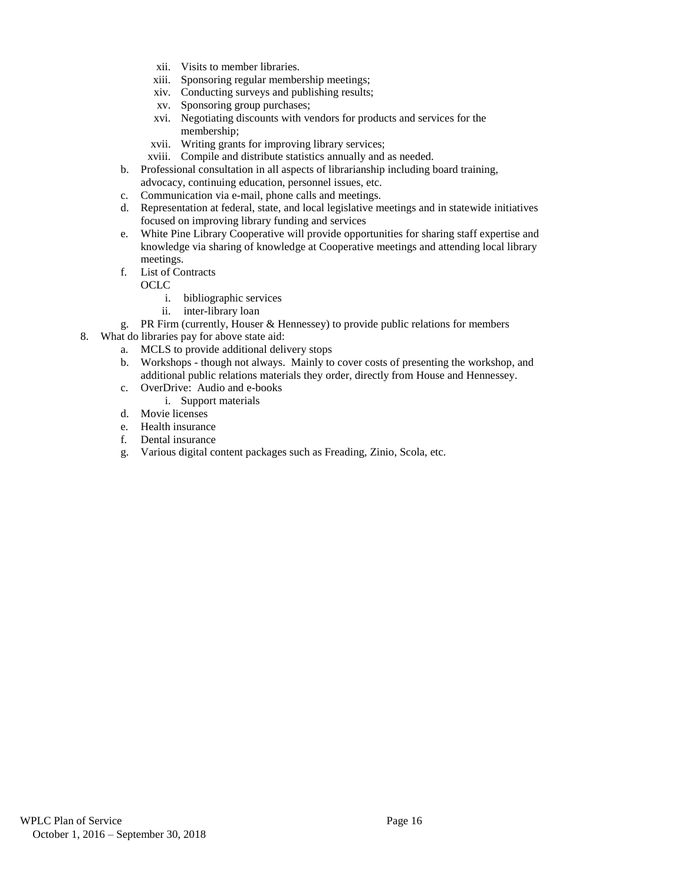- xii. Visits to member libraries.
- xiii. Sponsoring regular membership meetings;
- xiv. Conducting surveys and publishing results;
- xv. Sponsoring group purchases;
- xvi. Negotiating discounts with vendors for products and services for the membership;
- xvii. Writing grants for improving library services;
- xviii. Compile and distribute statistics annually and as needed.
- b. Professional consultation in all aspects of librarianship including board training, advocacy, continuing education, personnel issues, etc.
- c. Communication via e-mail, phone calls and meetings.
- d. Representation at federal, state, and local legislative meetings and in statewide initiatives focused on improving library funding and services
- e. White Pine Library Cooperative will provide opportunities for sharing staff expertise and knowledge via sharing of knowledge at Cooperative meetings and attending local library meetings.
- f. List of Contracts

OCLC

- i. bibliographic services
- ii. inter-library loan
- g. PR Firm (currently, Houser & Hennessey) to provide public relations for members
- 8. What do libraries pay for above state aid:
	- a. MCLS to provide additional delivery stops
	- b. Workshops though not always. Mainly to cover costs of presenting the workshop, and additional public relations materials they order, directly from House and Hennessey.
	- c. OverDrive: Audio and e-books
		- i. Support materials
	- d. Movie licenses
	- e. Health insurance
	- f. Dental insurance
	- g. Various digital content packages such as Freading, Zinio, Scola, etc.